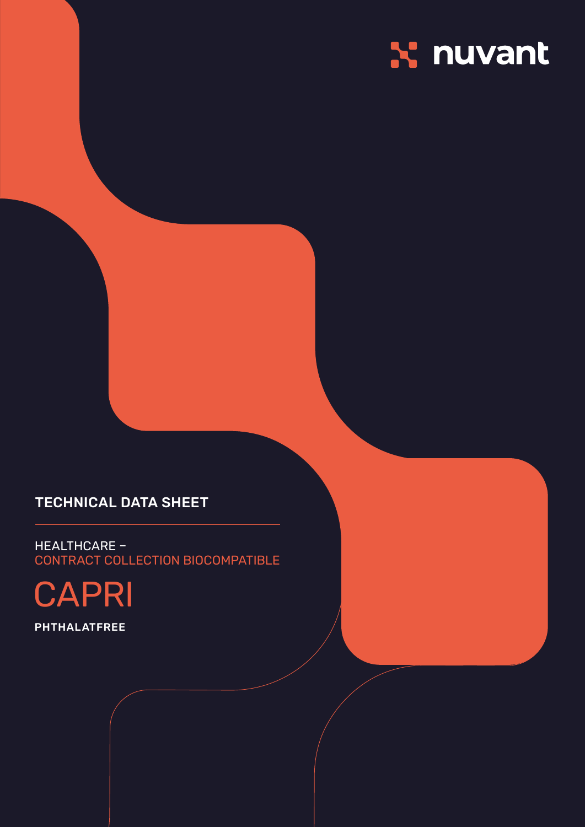## X nuvant

## **TECHNICAL DATA SHEET**

HEALTHCARE -CONTRACT COLLECTION BIOCOMPATIBLE

**CAPRI** 

**PHTHALATFREE**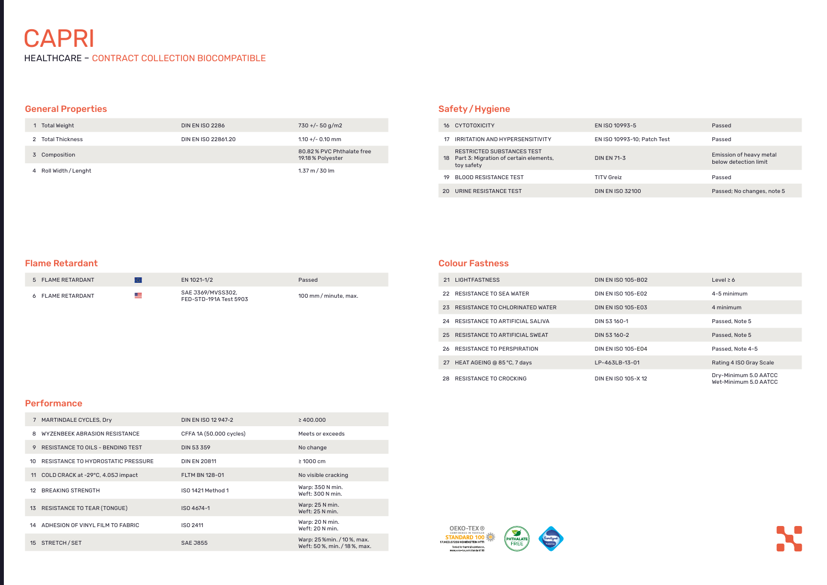# **CAPRI**

HEALTHCARE – CONTRACT COLLECTION BIOCOMPATIBLE

#### Colour Fastness

| <b>LIGHTFASTNESS</b><br>21            | DIN EN ISO 105-B02        | Level $\geq 6$                                 |
|---------------------------------------|---------------------------|------------------------------------------------|
| 22 RESISTANCE TO SEA WATER            | DIN EN ISO 105-E02        | 4-5 minimum                                    |
| RESISTANCE TO CHLORINATED WATER<br>23 | <b>DIN EN ISO 105-E03</b> | 4 minimum                                      |
| RESISTANCE TO ARTIFICIAL SALIVA<br>24 | DIN 53 160-1              | Passed, Note 5                                 |
| 25 RESISTANCE TO ARTIFICIAL SWEAT     | DIN 53 160-2              | Passed, Note 5                                 |
| RESISTANCE TO PERSPIRATION<br>26.     | DIN EN ISO 105-E04        | Passed, Note 4-5                               |
| HEAT AGEING @ 85 °C, 7 days<br>27     | LP-463LB-13-01            | Rating 4 ISO Gray Scale                        |
| RESISTANCE TO CROCKING<br>28.         | DIN EN ISO 105-X 12       | Dry-Minimum 5.0 AATCC<br>Wet-Minimum 5.0 AATCC |

### **Performance**

## Safety/Hygiene

| 16  | CYTOTOXICITY                                                                          | EN ISO 10993-5              | Passed                                           |
|-----|---------------------------------------------------------------------------------------|-----------------------------|--------------------------------------------------|
| 17  | <b>IRRITATION AND HYPERSENSITIVITY</b>                                                | EN ISO 10993-10; Patch Test | Passed                                           |
|     | RESTRICTED SUBSTANCES TEST<br>18 Part 3: Migration of certain elements,<br>toy safety | <b>DIN EN 71-3</b>          | Emission of heavy metal<br>below detection limit |
| 19  | BLOOD RESISTANCE TEST                                                                 | <b>TITV Greiz</b>           | Passed                                           |
| 20. | URINE RESISTANCE TEST                                                                 | <b>DIN EN ISO 32100</b>     | Passed; No changes, note 5                       |
|     |                                                                                       |                             |                                                  |

| MARTINDALE CYCLES, Dry                   | DIN EN ISO 12 947-2     | $\geq 400.000$                                             |
|------------------------------------------|-------------------------|------------------------------------------------------------|
| WYZENBEEK ABRASION RESISTANCE<br>8       | CFFA 1A (50.000 cycles) | Meets or exceeds                                           |
| RESISTANCE TO OILS - BENDING TEST<br>9   | <b>DIN 53 359</b>       | No change                                                  |
| RESISTANCE TO HYDROSTATIC PRESSURE<br>10 | <b>DIN EN 20811</b>     | $\geq 1000$ cm                                             |
| COLD CRACK at -29°C, 4.05J impact<br>11  | <b>FLTM BN 128-01</b>   | No visible cracking                                        |
| <b>BREAKING STRENGTH</b><br>12           | ISO 1421 Method 1       | Warp: 350 N min.<br>Weft: 300 N min.                       |
| RESISTANCE TO TEAR (TONGUE)<br>13        | ISO 4674-1              | Warp: 25 N min.<br>Weft: 25 N min.                         |
| ADHESION OF VINYL FILM TO FABRIC<br>14   | ISO 2411                | Warp: 20 N min.<br>Weft: 20 N min.                         |
| STRETCH/SET<br>15                        | <b>SAE J855</b>         | Warp: 25 %min. / 10 %, max.<br>Weft: 50%, min. / 18%, max. |







## General Properties

| Total Weight          | <b>DIN EN ISO 2286</b> | $730 + (-50)$ g/m2                             |
|-----------------------|------------------------|------------------------------------------------|
| Total Thickness       | DIN EN ISO 22861.20    | $1.10 + (-0.10)$ mm                            |
| 3 Composition         |                        | 80.82% PVC Phthalate free<br>19.18 % Polyester |
| 4 Roll Width / Lenght |                        | $1.37 \text{ m} / 30 \text{ lm}$               |

#### Flame Retardant

| 5 FLAME RETARDANT |     | EN 1021-1/2                                 | Passed                |
|-------------------|-----|---------------------------------------------|-----------------------|
| 6 FLAME RETARDANT | $=$ | SAE J369/MVSS302,<br>FED-STD-191A Test 5903 | 100 mm / minute, max. |